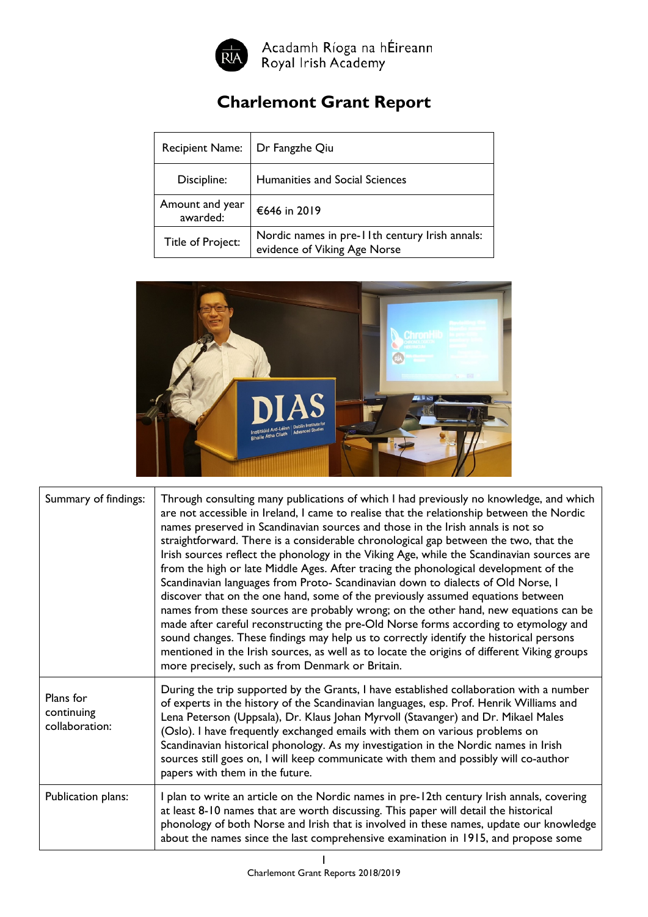

Acadamh Ríoga na hÉireann<br>Royal Irish Academy

## **Charlemont Grant Report**

| <b>Recipient Name:</b>      | Dr Fangzhe Qiu                                                                 |
|-----------------------------|--------------------------------------------------------------------------------|
| Discipline:                 | Humanities and Social Sciences                                                 |
| Amount and year<br>awarded: | €646 in 2019                                                                   |
| Title of Project:           | Nordic names in pre-11th century Irish annals:<br>evidence of Viking Age Norse |



| Summary of findings:                      | Through consulting many publications of which I had previously no knowledge, and which<br>are not accessible in Ireland, I came to realise that the relationship between the Nordic<br>names preserved in Scandinavian sources and those in the Irish annals is not so<br>straightforward. There is a considerable chronological gap between the two, that the<br>Irish sources reflect the phonology in the Viking Age, while the Scandinavian sources are<br>from the high or late Middle Ages. After tracing the phonological development of the<br>Scandinavian languages from Proto- Scandinavian down to dialects of Old Norse, I<br>discover that on the one hand, some of the previously assumed equations between<br>names from these sources are probably wrong; on the other hand, new equations can be<br>made after careful reconstructing the pre-Old Norse forms according to etymology and<br>sound changes. These findings may help us to correctly identify the historical persons<br>mentioned in the Irish sources, as well as to locate the origins of different Viking groups<br>more precisely, such as from Denmark or Britain. |
|-------------------------------------------|---------------------------------------------------------------------------------------------------------------------------------------------------------------------------------------------------------------------------------------------------------------------------------------------------------------------------------------------------------------------------------------------------------------------------------------------------------------------------------------------------------------------------------------------------------------------------------------------------------------------------------------------------------------------------------------------------------------------------------------------------------------------------------------------------------------------------------------------------------------------------------------------------------------------------------------------------------------------------------------------------------------------------------------------------------------------------------------------------------------------------------------------------------|
| Plans for<br>continuing<br>collaboration: | During the trip supported by the Grants, I have established collaboration with a number<br>of experts in the history of the Scandinavian languages, esp. Prof. Henrik Williams and<br>Lena Peterson (Uppsala), Dr. Klaus Johan Myrvoll (Stavanger) and Dr. Mikael Males<br>(Oslo). I have frequently exchanged emails with them on various problems on<br>Scandinavian historical phonology. As my investigation in the Nordic names in Irish<br>sources still goes on, I will keep communicate with them and possibly will co-author<br>papers with them in the future.                                                                                                                                                                                                                                                                                                                                                                                                                                                                                                                                                                                |
| Publication plans:                        | I plan to write an article on the Nordic names in pre-12th century Irish annals, covering<br>at least 8-10 names that are worth discussing. This paper will detail the historical<br>phonology of both Norse and Irish that is involved in these names, update our knowledge<br>about the names since the last comprehensive examination in 1915, and propose some                                                                                                                                                                                                                                                                                                                                                                                                                                                                                                                                                                                                                                                                                                                                                                                      |